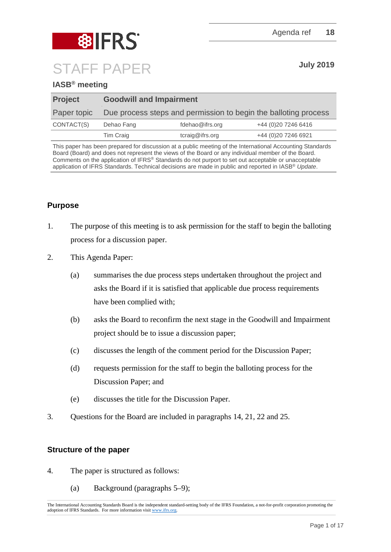

# **IASB® meeting**

| <b>Project</b> | <b>Goodwill and Impairment</b> |                                                                 |                      |
|----------------|--------------------------------|-----------------------------------------------------------------|----------------------|
| Paper topic    |                                | Due process steps and permission to begin the balloting process |                      |
| CONTACT(S)     | Dehao Fang                     | fdehao@ifrs.org                                                 | +44 (0) 20 7246 6416 |
|                | Tim Craig                      | tcraig@ifrs.org                                                 | +44 (0) 20 7246 6921 |

This paper has been prepared for discussion at a public meeting of the International Accounting Standards Board (Board) and does not represent the views of the Board or any individual member of the Board. Comments on the application of IFRS® Standards do not purport to set out acceptable or unacceptable application of IFRS Standards. Technical decisions are made in public and reported in IASB® *Update*.

# **Purpose**

- 1. The purpose of this meeting is to ask permission for the staff to begin the balloting process for a discussion paper.
- 2. This Agenda Paper:
	- (a) summarises the due process steps undertaken throughout the project and asks the Board if it is satisfied that applicable due process requirements have been complied with;
	- (b) asks the Board to reconfirm the next stage in the Goodwill and Impairment project should be to issue a discussion paper;
	- (c) discusses the length of the comment period for the Discussion Paper;
	- (d) requests permission for the staff to begin the balloting process for the Discussion Paper; and
	- (e) discusses the title for the Discussion Paper.
- 3. Questions for the Board are included in paragraphs [14,](#page-4-0) [21,](#page-6-0) [22](#page-6-1) and [25.](#page-7-0)

## **Structure of the paper**

- 4. The paper is structured as follows:
	- (a) Background (paragraphs [5](#page-1-0)[–9\)](#page-2-0);

The International Accounting Standards Board is the independent standard-setting body of the IFRS Foundation, a not-for-profit corporation promoting the adoption of IFRS Standards. For more information visit [www.ifrs.org.](http://www.ifrs.org/)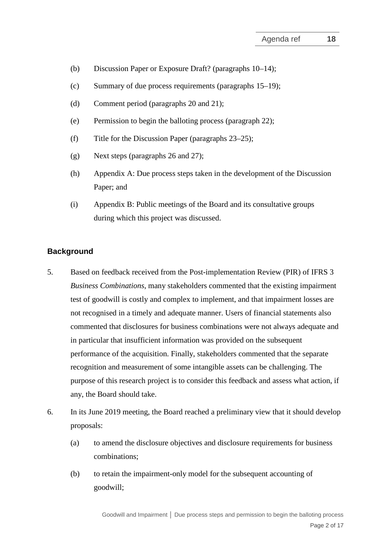- (b) Discussion Paper or Exposure Draft? (paragraphs [10](#page-3-0)[–14\)](#page-4-0);
- (c) Summary of due process requirements (paragraphs [15](#page-4-1)[–19\)](#page-5-0);
- (d) Comment period (paragraphs [20](#page-5-1) and [21\)](#page-6-2);
- (e) Permission to begin the balloting process (paragraph [22\)](#page-6-1);
- (f) Title for the Discussion Paper (paragraphs [23–](#page-6-3)[25\)](#page-7-0);
- (g) Next steps (paragraphs [26](#page-7-1) and [27\)](#page-7-2);
- (h) Appendix A: Due process steps taken in the development of the Discussion Paper; and
- (i) Appendix B: Public meetings of the Board and its consultative groups during which this project was discussed.

## **Background**

- <span id="page-1-0"></span>5. Based on feedback received from the Post-implementation Review (PIR) of IFRS 3 *Business Combinations*, many stakeholders commented that the existing impairment test of goodwill is costly and complex to implement, and that impairment losses are not recognised in a timely and adequate manner. Users of financial statements also commented that disclosures for business combinations were not always adequate and in particular that insufficient information was provided on the subsequent performance of the acquisition. Finally, stakeholders commented that the separate recognition and measurement of some intangible assets can be challenging. The purpose of this research project is to consider this feedback and assess what action, if any, the Board should take.
- <span id="page-1-1"></span>6. In its June 2019 meeting, the Board reached a preliminary view that it should develop proposals:
	- (a) to amend the disclosure objectives and disclosure requirements for business combinations;
	- (b) to retain the impairment-only model for the subsequent accounting of goodwill;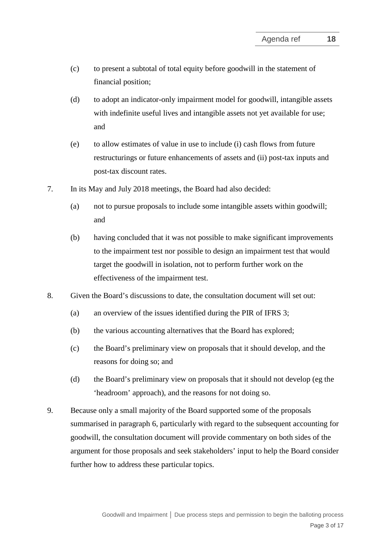- (c) to present a subtotal of total equity before goodwill in the statement of financial position;
- (d) to adopt an indicator-only impairment model for goodwill, intangible assets with indefinite useful lives and intangible assets not yet available for use; and
- (e) to allow estimates of value in use to include (i) cash flows from future restructurings or future enhancements of assets and (ii) post-tax inputs and post-tax discount rates.
- 7. In its May and July 2018 meetings, the Board had also decided:
	- (a) not to pursue proposals to include some intangible assets within goodwill; and
	- (b) having concluded that it was not possible to make significant improvements to the impairment test nor possible to design an impairment test that would target the goodwill in isolation, not to perform further work on the effectiveness of the impairment test.
- 8. Given the Board's discussions to date, the consultation document will set out:
	- (a) an overview of the issues identified during the PIR of IFRS 3;
	- (b) the various accounting alternatives that the Board has explored;
	- (c) the Board's preliminary view on proposals that it should develop, and the reasons for doing so; and
	- (d) the Board's preliminary view on proposals that it should not develop (eg the 'headroom' approach), and the reasons for not doing so.
- <span id="page-2-0"></span>9. Because only a small majority of the Board supported some of the proposals summarised in paragraph [6,](#page-1-1) particularly with regard to the subsequent accounting for goodwill, the consultation document will provide commentary on both sides of the argument for those proposals and seek stakeholders' input to help the Board consider further how to address these particular topics.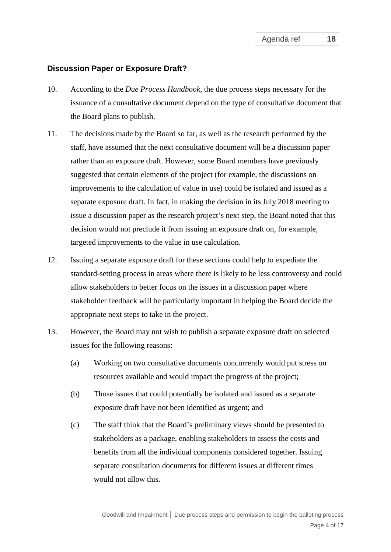## **Discussion Paper or Exposure Draft?**

- <span id="page-3-0"></span>10. According to the *Due Process Handbook*, the due process steps necessary for the issuance of a consultative document depend on the type of consultative document that the Board plans to publish.
- 11. The decisions made by the Board so far, as well as the research performed by the staff, have assumed that the next consultative document will be a discussion paper rather than an exposure draft. However, some Board members have previously suggested that certain elements of the project (for example, the discussions on improvements to the calculation of value in use) could be isolated and issued as a separate exposure draft. In fact, in making the decision in its July 2018 meeting to issue a discussion paper as the research project's next step, the Board noted that this decision would not preclude it from issuing an exposure draft on, for example, targeted improvements to the value in use calculation.
- 12. Issuing a separate exposure draft for these sections could help to expediate the standard-setting process in areas where there is likely to be less controversy and could allow stakeholders to better focus on the issues in a discussion paper where stakeholder feedback will be particularly important in helping the Board decide the appropriate next steps to take in the project.
- 13. However, the Board may not wish to publish a separate exposure draft on selected issues for the following reasons:
	- (a) Working on two consultative documents concurrently would put stress on resources available and would impact the progress of the project;
	- (b) Those issues that could potentially be isolated and issued as a separate exposure draft have not been identified as urgent; and
	- (c) The staff think that the Board's preliminary views should be presented to stakeholders as a package, enabling stakeholders to assess the costs and benefits from all the individual components considered together. Issuing separate consultation documents for different issues at different times would not allow this.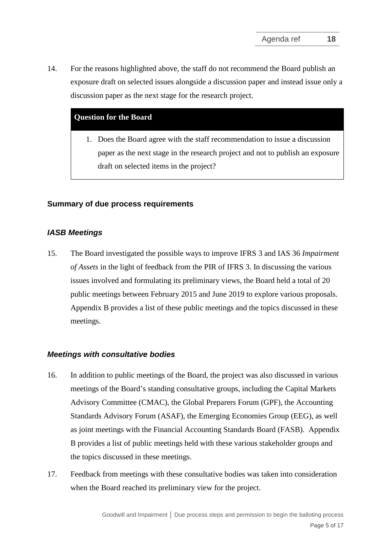<span id="page-4-0"></span>14. For the reasons highlighted above, the staff do not recommend the Board publish an exposure draft on selected issues alongside a discussion paper and instead issue only a discussion paper as the next stage for the research project.

## **Question for the Board**

1. Does the Board agree with the staff recommendation to issue a discussion paper as the next stage in the research project and not to publish an exposure draft on selected items in the project?

## **Summary of due process requirements**

## *IASB Meetings*

<span id="page-4-1"></span>15. The Board investigated the possible ways to improve IFRS 3 and IAS 36 *Impairment of Assets* in the light of feedback from the PIR of IFRS 3. In discussing the various issues involved and formulating its preliminary views, the Board held a total of 20 public meetings between February 2015 and June 2019 to explore various proposals. Appendix B provides a list of these public meetings and the topics discussed in these meetings.

#### *Meetings with consultative bodies*

- 16. In addition to public meetings of the Board, the project was also discussed in various meetings of the Board's standing consultative groups, including the Capital Markets Advisory Committee (CMAC), the Global Preparers Forum (GPF), the Accounting Standards Advisory Forum (ASAF), the Emerging Economies Group (EEG), as well as joint meetings with the Financial Accounting Standards Board (FASB). Appendix B provides a list of public meetings held with these various stakeholder groups and the topics discussed in these meetings.
- 17. Feedback from meetings with these consultative bodies was taken into consideration when the Board reached its preliminary view for the project.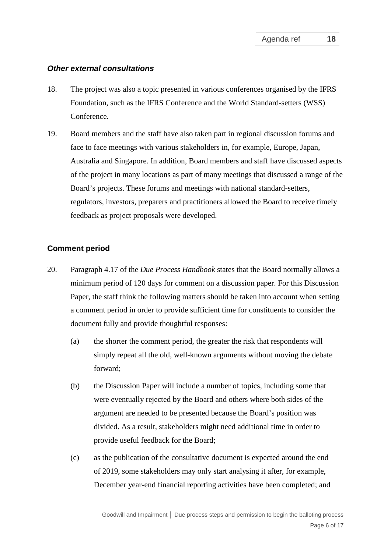### *Other external consultations*

- 18. The project was also a topic presented in various conferences organised by the IFRS Foundation, such as the IFRS Conference and the World Standard-setters (WSS) Conference.
- 19. Board members and the staff have also taken part in regional discussion forums and face to face meetings with various stakeholders in, for example, Europe, Japan, Australia and Singapore. In addition, Board members and staff have discussed aspects of the project in many locations as part of many meetings that discussed a range of the Board's projects. These forums and meetings with national standard-setters, regulators, investors, preparers and practitioners allowed the Board to receive timely feedback as project proposals were developed.

## <span id="page-5-0"></span>**Comment period**

- <span id="page-5-1"></span>20. Paragraph 4.17 of the *Due Process Handbook* states that the Board normally allows a minimum period of 120 days for comment on a discussion paper. For this Discussion Paper, the staff think the following matters should be taken into account when setting a comment period in order to provide sufficient time for constituents to consider the document fully and provide thoughtful responses:
	- (a) the shorter the comment period, the greater the risk that respondents will simply repeat all the old, well-known arguments without moving the debate forward;
	- (b) the Discussion Paper will include a number of topics, including some that were eventually rejected by the Board and others where both sides of the argument are needed to be presented because the Board's position was divided. As a result, stakeholders might need additional time in order to provide useful feedback for the Board;
	- (c) as the publication of the consultative document is expected around the end of 2019, some stakeholders may only start analysing it after, for example, December year-end financial reporting activities have been completed; and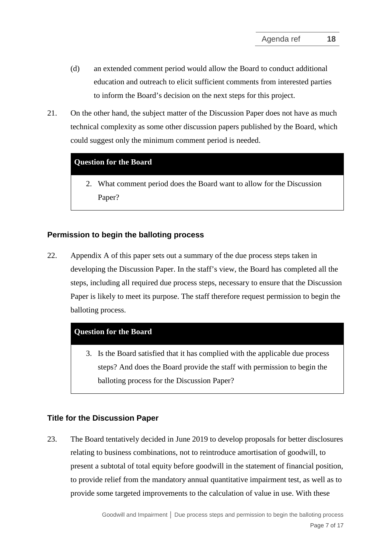- <span id="page-6-0"></span>(d) an extended comment period would allow the Board to conduct additional education and outreach to elicit sufficient comments from interested parties to inform the Board's decision on the next steps for this project.
- <span id="page-6-2"></span>21. On the other hand, the subject matter of the Discussion Paper does not have as much technical complexity as some other discussion papers published by the Board, which could suggest only the minimum comment period is needed.

## **Question for the Board**

2. What comment period does the Board want to allow for the Discussion Paper?

## **Permission to begin the balloting process**

<span id="page-6-1"></span>22. Appendix A of this paper sets out a summary of the due process steps taken in developing the Discussion Paper. In the staff's view, the Board has completed all the steps, including all required due process steps, necessary to ensure that the Discussion Paper is likely to meet its purpose. The staff therefore request permission to begin the balloting process.

## **Question for the Board**

3. Is the Board satisfied that it has complied with the applicable due process steps? And does the Board provide the staff with permission to begin the balloting process for the Discussion Paper?

## **Title for the Discussion Paper**

<span id="page-6-3"></span>23. The Board tentatively decided in June 2019 to develop proposals for better disclosures relating to business combinations, not to reintroduce amortisation of goodwill, to present a subtotal of total equity before goodwill in the statement of financial position, to provide relief from the mandatory annual quantitative impairment test, as well as to provide some targeted improvements to the calculation of value in use. With these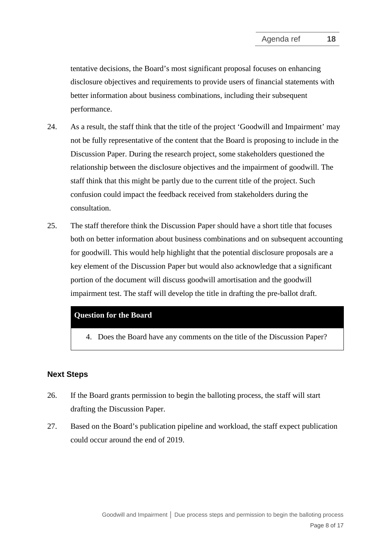tentative decisions, the Board's most significant proposal focuses on enhancing disclosure objectives and requirements to provide users of financial statements with better information about business combinations, including their subsequent performance.

- 24. As a result, the staff think that the title of the project 'Goodwill and Impairment' may not be fully representative of the content that the Board is proposing to include in the Discussion Paper. During the research project, some stakeholders questioned the relationship between the disclosure objectives and the impairment of goodwill. The staff think that this might be partly due to the current title of the project. Such confusion could impact the feedback received from stakeholders during the consultation.
- <span id="page-7-0"></span>25. The staff therefore think the Discussion Paper should have a short title that focuses both on better information about business combinations and on subsequent accounting for goodwill. This would help highlight that the potential disclosure proposals are a key element of the Discussion Paper but would also acknowledge that a significant portion of the document will discuss goodwill amortisation and the goodwill impairment test. The staff will develop the title in drafting the pre-ballot draft.

#### **Question for the Board**

4. Does the Board have any comments on the title of the Discussion Paper?

#### **Next Steps**

- <span id="page-7-1"></span>26. If the Board grants permission to begin the balloting process, the staff will start drafting the Discussion Paper.
- <span id="page-7-2"></span>27. Based on the Board's publication pipeline and workload, the staff expect publication could occur around the end of 2019.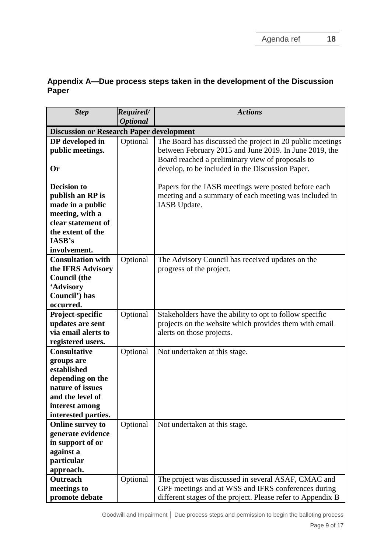# **Appendix A—Due process steps taken in the development of the Discussion Paper**

| <b>Step</b>                                     | Required/       | <b>Actions</b>                                              |
|-------------------------------------------------|-----------------|-------------------------------------------------------------|
|                                                 | <b>Optional</b> |                                                             |
| <b>Discussion or Research Paper development</b> |                 |                                                             |
| DP developed in                                 | Optional        | The Board has discussed the project in 20 public meetings   |
| public meetings.                                |                 | between February 2015 and June 2019. In June 2019, the      |
|                                                 |                 | Board reached a preliminary view of proposals to            |
| <b>Or</b>                                       |                 | develop, to be included in the Discussion Paper.            |
|                                                 |                 |                                                             |
| <b>Decision to</b>                              |                 | Papers for the IASB meetings were posted before each        |
| publish an RP is                                |                 | meeting and a summary of each meeting was included in       |
| made in a public                                |                 | IASB Update.                                                |
| meeting, with a                                 |                 |                                                             |
| clear statement of                              |                 |                                                             |
| the extent of the                               |                 |                                                             |
| IASB's                                          |                 |                                                             |
| involvement.<br><b>Consultation with</b>        |                 |                                                             |
|                                                 | Optional        | The Advisory Council has received updates on the            |
| the IFRS Advisory<br><b>Council</b> (the        |                 | progress of the project.                                    |
| 'Advisory                                       |                 |                                                             |
| Council') has                                   |                 |                                                             |
| occurred.                                       |                 |                                                             |
| Project-specific                                | Optional        | Stakeholders have the ability to opt to follow specific     |
| updates are sent                                |                 | projects on the website which provides them with email      |
| via email alerts to                             |                 | alerts on those projects.                                   |
| registered users.                               |                 |                                                             |
| <b>Consultative</b>                             | Optional        | Not undertaken at this stage.                               |
| groups are                                      |                 |                                                             |
| established                                     |                 |                                                             |
| depending on the                                |                 |                                                             |
| nature of issues                                |                 |                                                             |
| and the level of                                |                 |                                                             |
| interest among                                  |                 |                                                             |
| interested parties.                             |                 |                                                             |
| <b>Online survey to</b>                         | Optional        | Not undertaken at this stage.                               |
| generate evidence                               |                 |                                                             |
| in support of or                                |                 |                                                             |
| against a                                       |                 |                                                             |
| particular                                      |                 |                                                             |
| approach.                                       |                 |                                                             |
| <b>Outreach</b>                                 | Optional        | The project was discussed in several ASAF, CMAC and         |
| meetings to                                     |                 | GPF meetings and at WSS and IFRS conferences during         |
| promote debate                                  |                 | different stages of the project. Please refer to Appendix B |

Goodwill and Impairment **│** Due process steps and permission to begin the balloting process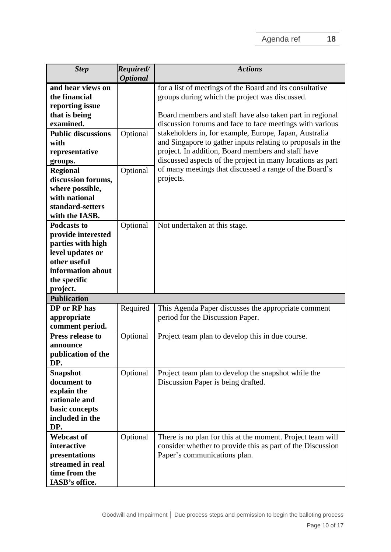| <b>Step</b>                                                                                                                                                                                                                                                              | Required/                               | <b>Actions</b>                                                                                                                                                                                                                                                                                                                                                                                                                                                                                                                                         |
|--------------------------------------------------------------------------------------------------------------------------------------------------------------------------------------------------------------------------------------------------------------------------|-----------------------------------------|--------------------------------------------------------------------------------------------------------------------------------------------------------------------------------------------------------------------------------------------------------------------------------------------------------------------------------------------------------------------------------------------------------------------------------------------------------------------------------------------------------------------------------------------------------|
| and hear views on<br>the financial<br>reporting issue<br>that is being<br>examined.<br><b>Public discussions</b><br>with<br>representative<br>groups.<br><b>Regional</b><br>discussion forums,<br>where possible,<br>with national<br>standard-setters<br>with the IASB. | <b>Optional</b><br>Optional<br>Optional | for a list of meetings of the Board and its consultative<br>groups during which the project was discussed.<br>Board members and staff have also taken part in regional<br>discussion forums and face to face meetings with various<br>stakeholders in, for example, Europe, Japan, Australia<br>and Singapore to gather inputs relating to proposals in the<br>project. In addition, Board members and staff have<br>discussed aspects of the project in many locations as part<br>of many meetings that discussed a range of the Board's<br>projects. |
| <b>Podcasts to</b><br>provide interested<br>parties with high<br>level updates or<br>other useful<br>information about<br>the specific<br>project.<br><b>Publication</b><br>DP or RP has                                                                                 | Optional<br>Required                    | Not undertaken at this stage.<br>This Agenda Paper discusses the appropriate comment                                                                                                                                                                                                                                                                                                                                                                                                                                                                   |
| appropriate<br>comment period.<br><b>Press release to</b><br>announce<br>publication of the                                                                                                                                                                              | Optional                                | period for the Discussion Paper.<br>Project team plan to develop this in due course.                                                                                                                                                                                                                                                                                                                                                                                                                                                                   |
| DP.<br><b>Snapshot</b><br>document to<br>explain the<br>rationale and<br>basic concepts<br>included in the<br>DP.                                                                                                                                                        | Optional                                | Project team plan to develop the snapshot while the<br>Discussion Paper is being drafted.                                                                                                                                                                                                                                                                                                                                                                                                                                                              |
| <b>Webcast of</b><br>interactive<br>presentations<br>streamed in real<br>time from the<br>IASB's office.                                                                                                                                                                 | Optional                                | There is no plan for this at the moment. Project team will<br>consider whether to provide this as part of the Discussion<br>Paper's communications plan.                                                                                                                                                                                                                                                                                                                                                                                               |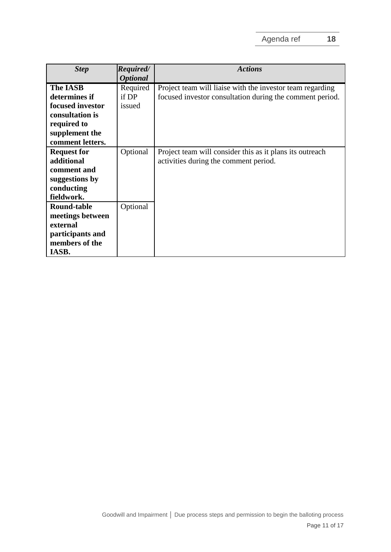| <b>Step</b>        | Required/       | <b>Actions</b>                                            |
|--------------------|-----------------|-----------------------------------------------------------|
|                    | <b>Optional</b> |                                                           |
| <b>The IASB</b>    | Required        | Project team will liaise with the investor team regarding |
| determines if      | if DP           | focused investor consultation during the comment period.  |
| focused investor   | issued          |                                                           |
| consultation is    |                 |                                                           |
| required to        |                 |                                                           |
| supplement the     |                 |                                                           |
| comment letters.   |                 |                                                           |
| <b>Request for</b> | Optional        | Project team will consider this as it plans its outreach  |
| additional         |                 | activities during the comment period.                     |
| comment and        |                 |                                                           |
| suggestions by     |                 |                                                           |
| conducting         |                 |                                                           |
| fieldwork.         |                 |                                                           |
| <b>Round-table</b> | Optional        |                                                           |
| meetings between   |                 |                                                           |
| external           |                 |                                                           |
| participants and   |                 |                                                           |
| members of the     |                 |                                                           |
| IASB.              |                 |                                                           |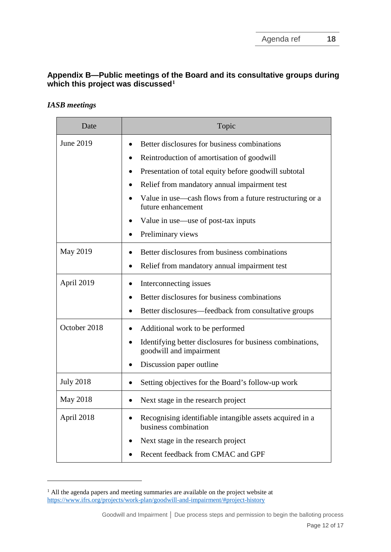# **Appendix B—Public meetings of the Board and its consultative groups during which this project was discussed[1](#page-11-0)**

## *IASB meetings*

<u>.</u>

| Date             | Topic                                                                                |
|------------------|--------------------------------------------------------------------------------------|
| June 2019        | Better disclosures for business combinations                                         |
|                  | Reintroduction of amortisation of goodwill                                           |
|                  | Presentation of total equity before goodwill subtotal                                |
|                  | Relief from mandatory annual impairment test                                         |
|                  | Value in use—cash flows from a future restructuring or a<br>future enhancement       |
|                  | Value in use—use of post-tax inputs                                                  |
|                  | Preliminary views                                                                    |
| May 2019         | Better disclosures from business combinations                                        |
|                  | Relief from mandatory annual impairment test                                         |
| April 2019       | Interconnecting issues                                                               |
|                  | Better disclosures for business combinations                                         |
|                  | Better disclosures—feedback from consultative groups                                 |
| October 2018     | Additional work to be performed                                                      |
|                  | Identifying better disclosures for business combinations,<br>goodwill and impairment |
|                  | Discussion paper outline                                                             |
| <b>July 2018</b> | Setting objectives for the Board's follow-up work                                    |
| May 2018         | Next stage in the research project                                                   |
| April 2018       | Recognising identifiable intangible assets acquired in a<br>business combination     |
|                  | Next stage in the research project                                                   |
|                  | Recent feedback from CMAC and GPF                                                    |

<span id="page-11-0"></span><sup>&</sup>lt;sup>1</sup> All the agenda papers and meeting summaries are available on the project website at <https://www.ifrs.org/projects/work-plan/goodwill-and-impairment/#project-history>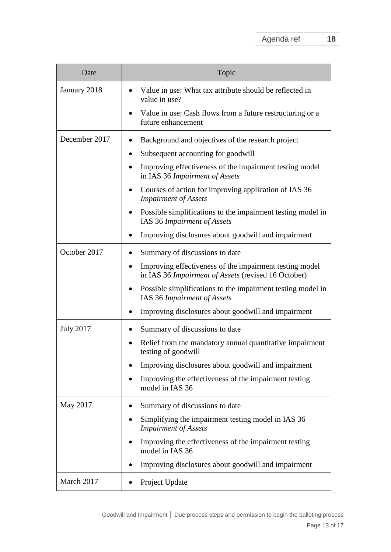| Date             | Topic                                                                                                          |
|------------------|----------------------------------------------------------------------------------------------------------------|
| January 2018     | Value in use: What tax attribute should be reflected in<br>$\bullet$<br>value in use?                          |
|                  | Value in use: Cash flows from a future restructuring or a<br>future enhancement                                |
| December 2017    | Background and objectives of the research project                                                              |
|                  | Subsequent accounting for goodwill<br>$\bullet$                                                                |
|                  | Improving effectiveness of the impairment testing model<br>in IAS 36 Impairment of Assets                      |
|                  | Courses of action for improving application of IAS 36<br><b>Impairment of Assets</b>                           |
|                  | Possible simplifications to the impairment testing model in<br>IAS 36 Impairment of Assets                     |
|                  | Improving disclosures about goodwill and impairment                                                            |
| October 2017     | Summary of discussions to date                                                                                 |
|                  | Improving effectiveness of the impairment testing model<br>in IAS 36 Impairment of Assets (revised 16 October) |
|                  | Possible simplifications to the impairment testing model in<br>IAS 36 Impairment of Assets                     |
|                  | Improving disclosures about goodwill and impairment                                                            |
| <b>July 2017</b> | Summary of discussions to date                                                                                 |
|                  | Relief from the mandatory annual quantitative impairment<br>$\bullet$<br>testing of goodwill                   |
|                  | Improving disclosures about goodwill and impairment                                                            |
|                  | Improving the effectiveness of the impairment testing<br>model in IAS 36                                       |
| May 2017         | Summary of discussions to date                                                                                 |
|                  | Simplifying the impairment testing model in IAS 36<br><b>Impairment of Assets</b>                              |
|                  | Improving the effectiveness of the impairment testing<br>model in IAS 36                                       |
|                  | Improving disclosures about goodwill and impairment                                                            |
| March 2017       | Project Update                                                                                                 |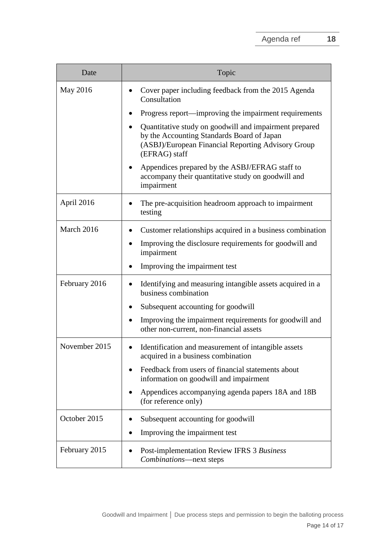| Date          | Topic                                                                                                                                                                       |
|---------------|-----------------------------------------------------------------------------------------------------------------------------------------------------------------------------|
| May 2016      | Cover paper including feedback from the 2015 Agenda<br>Consultation                                                                                                         |
|               | Progress report—improving the impairment requirements                                                                                                                       |
|               | Quantitative study on goodwill and impairment prepared<br>by the Accounting Standards Board of Japan<br>(ASBJ)/European Financial Reporting Advisory Group<br>(EFRAG) staff |
|               | Appendices prepared by the ASBJ/EFRAG staff to<br>accompany their quantitative study on goodwill and<br>impairment                                                          |
| April 2016    | The pre-acquisition headroom approach to impairment<br>testing                                                                                                              |
| March 2016    | Customer relationships acquired in a business combination                                                                                                                   |
|               | Improving the disclosure requirements for goodwill and<br>impairment                                                                                                        |
|               | Improving the impairment test                                                                                                                                               |
| February 2016 | Identifying and measuring intangible assets acquired in a<br>business combination                                                                                           |
|               | Subsequent accounting for goodwill                                                                                                                                          |
|               | Improving the impairment requirements for goodwill and<br>other non-current, non-financial assets                                                                           |
| November 2015 | Identification and measurement of intangible assets<br>acquired in a business combination                                                                                   |
|               | Feedback from users of financial statements about<br>information on goodwill and impairment                                                                                 |
|               | Appendices accompanying agenda papers 18A and 18B<br>(for reference only)                                                                                                   |
| October 2015  | Subsequent accounting for goodwill                                                                                                                                          |
|               | Improving the impairment test                                                                                                                                               |
| February 2015 | Post-implementation Review IFRS 3 Business<br>Combinations-next steps                                                                                                       |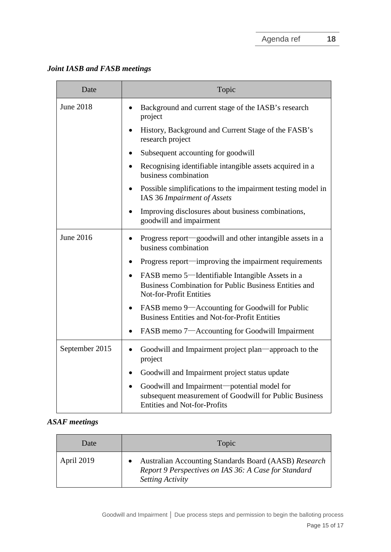*Joint IASB and FASB meetings*

| Date           | Topic                                                                                                                                                   |
|----------------|---------------------------------------------------------------------------------------------------------------------------------------------------------|
| June 2018      | Background and current stage of the IASB's research<br>project                                                                                          |
|                | History, Background and Current Stage of the FASB's<br>research project                                                                                 |
|                | Subsequent accounting for goodwill                                                                                                                      |
|                | Recognising identifiable intangible assets acquired in a<br>business combination                                                                        |
|                | Possible simplifications to the impairment testing model in<br>IAS 36 Impairment of Assets                                                              |
|                | Improving disclosures about business combinations,<br>$\bullet$<br>goodwill and impairment                                                              |
| June 2016      | Progress report—goodwill and other intangible assets in a<br>$\bullet$<br>business combination                                                          |
|                | Progress report—improving the impairment requirements                                                                                                   |
|                | FASB memo 5—Identifiable Intangible Assets in a<br>$\bullet$<br>Business Combination for Public Business Entities and<br><b>Not-for-Profit Entities</b> |
|                | FASB memo 9—Accounting for Goodwill for Public<br><b>Business Entities and Not-for-Profit Entities</b>                                                  |
|                | FASB memo 7-Accounting for Goodwill Impairment<br>$\bullet$                                                                                             |
| September 2015 | Goodwill and Impairment project plan—approach to the<br>$\bullet$<br>project                                                                            |
|                | Goodwill and Impairment project status update                                                                                                           |
|                | Goodwill and Impairment-potential model for<br>subsequent measurement of Goodwill for Public Business<br><b>Entities and Not-for-Profits</b>            |

# *ASAF meetings*

| Date       | Topic                                                                                                                                    |
|------------|------------------------------------------------------------------------------------------------------------------------------------------|
| April 2019 | Australian Accounting Standards Board (AASB) Research<br>Report 9 Perspectives on IAS 36: A Case for Standard<br><b>Setting Activity</b> |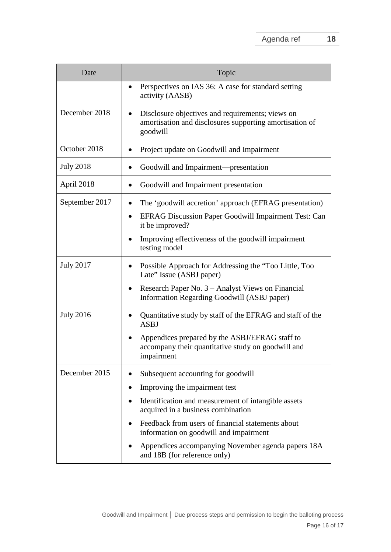| Date             | Topic                                                                                                                        |
|------------------|------------------------------------------------------------------------------------------------------------------------------|
|                  | Perspectives on IAS 36: A case for standard setting<br>$\bullet$<br>activity (AASB)                                          |
| December 2018    | Disclosure objectives and requirements; views on<br>٠<br>amortisation and disclosures supporting amortisation of<br>goodwill |
| October 2018     | Project update on Goodwill and Impairment<br>٠                                                                               |
| <b>July 2018</b> | Goodwill and Impairment-presentation                                                                                         |
| April 2018       | Goodwill and Impairment presentation<br>$\bullet$                                                                            |
| September 2017   | The 'goodwill accretion' approach (EFRAG presentation)<br>٠                                                                  |
|                  | <b>EFRAG Discussion Paper Goodwill Impairment Test: Can</b><br>٠<br>it be improved?                                          |
|                  | Improving effectiveness of the goodwill impairment<br>testing model                                                          |
| <b>July 2017</b> | Possible Approach for Addressing the "Too Little, Too<br>Late" Issue (ASBJ paper)                                            |
|                  | Research Paper No. 3 – Analyst Views on Financial<br>٠<br>Information Regarding Goodwill (ASBJ paper)                        |
| <b>July 2016</b> | Quantitative study by staff of the EFRAG and staff of the<br><b>ASBJ</b>                                                     |
|                  | Appendices prepared by the ASBJ/EFRAG staff to<br>accompany their quantitative study on goodwill and<br>impairment           |
| December 2015    | Subsequent accounting for goodwill                                                                                           |
|                  | Improving the impairment test                                                                                                |
|                  | Identification and measurement of intangible assets<br>acquired in a business combination                                    |
|                  | Feedback from users of financial statements about<br>information on goodwill and impairment                                  |
|                  | Appendices accompanying November agenda papers 18A<br>and 18B (for reference only)                                           |